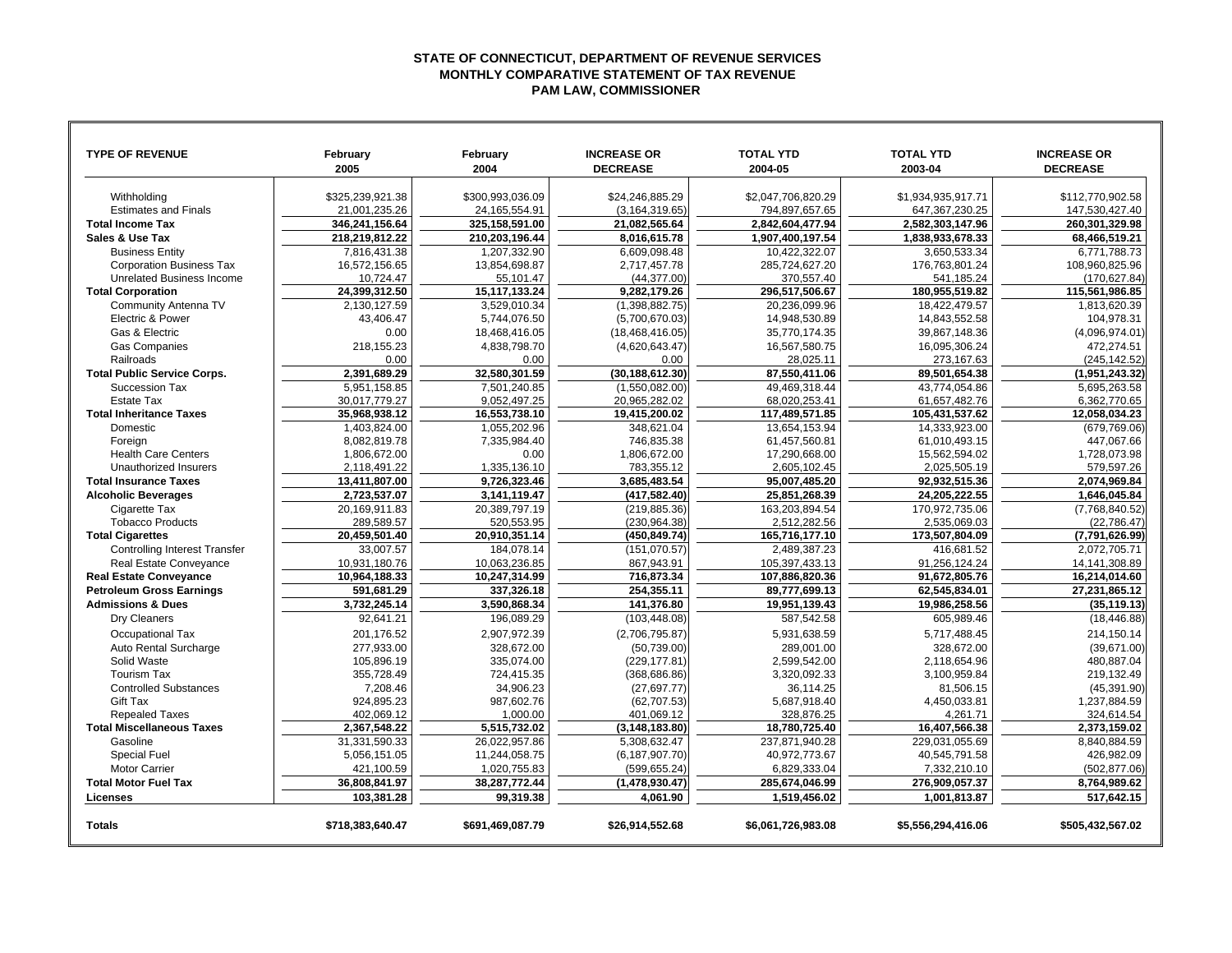## **STATE OF CONNECTICUT, DEPARTMENT OF REVENUE SERVICES MONTHLY COMPARATIVE STATEMENT OF TAX REVENUE PAM LAW, COMMISSIONER**

| <b>TYPE OF REVENUE</b>               | February<br>2005 | February<br>2004 | <b>INCREASE OR</b><br><b>DECREASE</b> | <b>TOTAL YTD</b><br>2004-05 | <b>TOTAL YTD</b><br>2003-04 | <b>INCREASE OR</b><br><b>DECREASE</b> |
|--------------------------------------|------------------|------------------|---------------------------------------|-----------------------------|-----------------------------|---------------------------------------|
|                                      |                  |                  |                                       |                             |                             |                                       |
| Withholding                          | \$325.239.921.38 | \$300.993.036.09 | \$24.246.885.29                       | \$2,047,706,820.29          | \$1,934,935,917.71          | \$112.770.902.58                      |
| <b>Estimates and Finals</b>          | 21,001,235.26    | 24,165,554.91    | (3, 164, 319.65)                      | 794,897,657.65              | 647, 367, 230. 25           | 147,530,427.40                        |
| <b>Total Income Tax</b>              | 346.241.156.64   | 325.158.591.00   | 21,082,565.64                         | 2.842.604.477.94            | 2.582.303.147.96            | 260.301.329.98                        |
| Sales & Use Tax                      | 218,219,812.22   | 210,203,196.44   | 8,016,615.78                          | 1,907,400,197.54            | 1,838,933,678.33            | 68,466,519.21                         |
| <b>Business Entity</b>               | 7.816.431.38     | 1,207,332.90     | 6,609,098.48                          | 10,422,322.07               | 3,650,533.34                | 6,771,788.73                          |
| <b>Corporation Business Tax</b>      | 16,572,156.65    | 13,854,698.87    | 2,717,457.78                          | 285,724,627.20              | 176,763,801.24              | 108,960,825.96                        |
| Unrelated Business Income            | 10,724.47        | 55,101.47        | (44, 377.00)                          | 370,557.40                  | 541,185.24                  | (170, 627.84)                         |
| <b>Total Corporation</b>             | 24,399,312.50    | 15,117,133.24    | 9,282,179.26                          | 296,517,506.67              | 180,955,519.82              | 115,561,986.85                        |
| <b>Community Antenna TV</b>          | 2,130,127.59     | 3,529,010.34     | (1,398,882.75)                        | 20,236,099.96               | 18,422,479.57               | 1,813,620.39                          |
| Electric & Power                     | 43,406.47        | 5,744,076.50     | (5,700,670.03)                        | 14,948,530.89               | 14,843,552.58               | 104,978.31                            |
| Gas & Electric                       | 0.00             | 18,468,416.05    | (18, 468, 416.05)                     | 35,770,174.35               | 39,867,148.36               | (4,096,974.01)                        |
| <b>Gas Companies</b>                 | 218,155.23       | 4,838,798.70     | (4,620,643.47)                        | 16,567,580.75               | 16,095,306.24               | 472,274.51                            |
| Railroads                            | 0.00             | 0.00             | 0.00                                  | 28,025.11                   | 273,167.63                  | (245.142.52)                          |
| <b>Total Public Service Corps.</b>   | 2.391.689.29     | 32.580.301.59    | (30, 188, 612.30)                     | 87.550.411.06               | 89.501.654.38               | (1.951.243.32)                        |
| Succession Tax                       | 5,951,158.85     | 7,501,240.85     | (1,550,082.00)                        | 49,469,318.44               | 43,774,054.86               | 5,695,263.58                          |
| <b>Estate Tax</b>                    | 30,017,779.27    | 9,052,497.25     | 20,965,282.02                         | 68,020,253.41               | 61,657,482.76               | 6,362,770.65                          |
| <b>Total Inheritance Taxes</b>       | 35,968,938.12    | 16,553,738.10    | 19,415,200.02                         | 117,489,571.85              | 105,431,537.62              | 12,058,034.23                         |
| Domestic                             | 1.403.824.00     | 1.055.202.96     | 348.621.04                            | 13.654.153.94               | 14.333.923.00               | (679,769.06)                          |
| Foreign                              | 8,082,819.78     | 7,335,984.40     | 746,835.38                            | 61,457,560.81               | 61,010,493.15               | 447,067.66                            |
| <b>Health Care Centers</b>           | 1,806,672.00     | 0.00             | 1,806,672.00                          | 17,290,668.00               | 15,562,594.02               | 1,728,073.98                          |
| Unauthorized Insurers                | 2,118,491.22     | 1,335,136.10     | 783,355.12                            | 2,605,102.45                | 2,025,505.19                | 579,597.26                            |
| <b>Total Insurance Taxes</b>         | 13,411,807.00    | 9,726,323.46     | 3,685,483.54                          | 95,007,485.20               | 92,932,515.36               | 2,074,969.84                          |
| <b>Alcoholic Beverages</b>           | 2,723,537.07     | 3,141,119.47     | (417,582.40)                          | 25,851,268.39               | 24,205,222.55               | 1,646,045.84                          |
| Cigarette Tax                        | 20.169.911.83    | 20.389.797.19    | (219.885.36)                          | 163.203.894.54              | 170.972.735.06              | (7,768,840.52)                        |
| <b>Tobacco Products</b>              | 289,589.57       | 520,553.95       | (230, 964.38)                         | 2,512,282.56                | 2,535,069.03                | (22, 786.47)                          |
| <b>Total Cigarettes</b>              | 20,459,501.40    | 20,910,351.14    | (450, 849.74)                         | 165,716,177.10              | 173,507,804.09              | (7,791,626.99)                        |
| <b>Controlling Interest Transfer</b> | 33,007.57        | 184,078.14       | (151,070.57)                          | 2,489,387.23                | 416,681.52                  | 2,072,705.71                          |
| Real Estate Conveyance               | 10,931,180.76    | 10.063.236.85    | 867,943.91                            | 105,397,433.13              | 91,256,124.24               | 14, 141, 308.89                       |
| <b>Real Estate Conveyance</b>        | 10,964,188.33    | 10,247,314.99    | 716,873.34                            | 107,886,820.36              | 91,672,805.76               | 16,214,014.60                         |
| <b>Petroleum Gross Earnings</b>      | 591,681.29       | 337,326.18       | 254,355.11                            | 89,777,699.13               | 62,545,834.01               | 27,231,865.12                         |
| <b>Admissions &amp; Dues</b>         | 3,732,245.14     | 3,590,868.34     | 141,376.80                            | 19,951,139.43               | 19,986,258.56               | (35, 119.13)                          |
| Dry Cleaners                         | 92.641.21        | 196,089.29       | (103, 448.08)                         | 587,542.58                  | 605,989.46                  | (18, 446.88)                          |
| <b>Occupational Tax</b>              | 201,176.52       | 2,907,972.39     | (2,706,795.87)                        | 5,931,638.59                | 5,717,488.45                | 214,150.14                            |
| Auto Rental Surcharge                | 277,933.00       | 328,672.00       | (50, 739.00)                          | 289,001.00                  | 328,672.00                  | (39,671.00)                           |
| Solid Waste                          | 105,896.19       | 335,074.00       | (229, 177.81)                         | 2,599,542.00                | 2,118,654.96                | 480,887.04                            |
| <b>Tourism Tax</b>                   | 355.728.49       | 724.415.35       | (368, 686.86)                         | 3.320.092.33                | 3.100.959.84                | 219.132.49                            |
| <b>Controlled Substances</b>         | 7,208.46         | 34,906.23        | (27, 697.77)                          | 36,114.25                   | 81,506.15                   | (45, 391.90)                          |
| <b>Gift Tax</b>                      | 924,895.23       | 987,602.76       | (62, 707.53)                          | 5,687,918.40                | 4,450,033.81                | 1,237,884.59                          |
| <b>Repealed Taxes</b>                | 402,069.12       | 1,000.00         | 401,069.12                            | 328,876.25                  | 4,261.71                    | 324.614.54                            |
| <b>Total Miscellaneous Taxes</b>     | 2,367,548.22     | 5,515,732.02     | (3, 148, 183.80)                      | 18,780,725.40               | 16,407,566.38               | 2,373,159.02                          |
| Gasoline                             | 31,331,590.33    | 26,022,957.86    | 5,308,632.47                          | 237,871,940.28              | 229,031,055.69              | 8,840,884.59                          |
| <b>Special Fuel</b>                  | 5,056,151.05     | 11,244,058.75    | (6, 187, 907.70)                      | 40,972,773.67               | 40,545,791.58               | 426,982.09                            |
| <b>Motor Carrier</b>                 | 421,100.59       | 1,020,755.83     | (599,655.24)                          | 6,829,333.04                | 7,332,210.10                | (502, 877.06)                         |
| <b>Total Motor Fuel Tax</b>          | 36,808,841.97    | 38,287,772.44    | (1,478,930.47)                        | 285,674,046.99              | 276,909,057.37              | 8,764,989.62                          |
| Licenses                             | 103,381.28       | 99,319.38        | 4,061.90                              | 1,519,456.02                | 1,001,813.87                | 517,642.15                            |
| <b>Totals</b>                        | \$718,383,640.47 | \$691,469,087.79 | \$26,914,552.68                       | \$6,061,726,983.08          | \$5,556,294,416.06          | \$505,432,567.02                      |